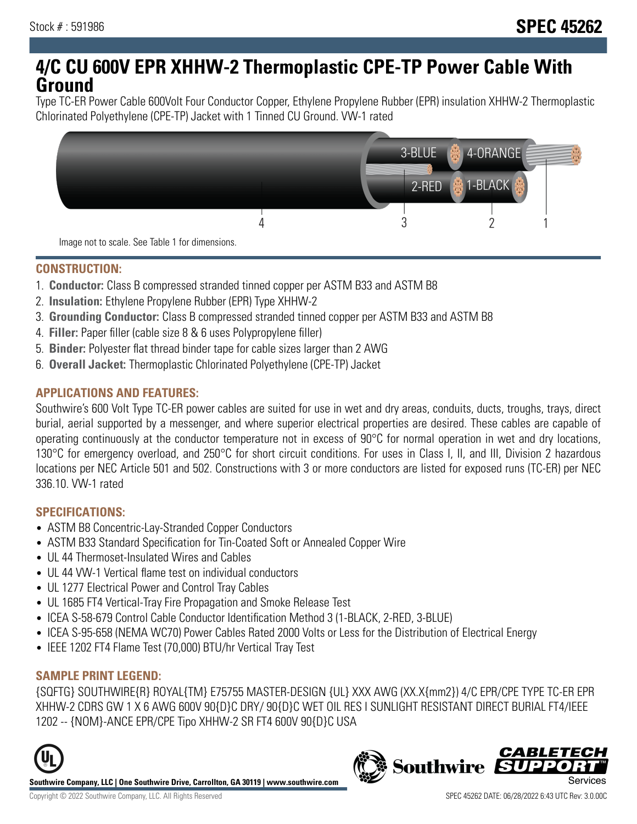## **4/C CU 600V EPR XHHW-2 Thermoplastic CPE-TP Power Cable With Ground**

Type TC-ER Power Cable 600Volt Four Conductor Copper, Ethylene Propylene Rubber (EPR) insulation XHHW-2 Thermoplastic Chlorinated Polyethylene (CPE-TP) Jacket with 1 Tinned CU Ground. VW-1 rated



#### **CONSTRUCTION:**

- 1. **Conductor:** Class B compressed stranded tinned copper per ASTM B33 and ASTM B8
- 2. **Insulation:** Ethylene Propylene Rubber (EPR) Type XHHW-2
- 3. **Grounding Conductor:** Class B compressed stranded tinned copper per ASTM B33 and ASTM B8
- 4. **Filler:** Paper filler (cable size 8 & 6 uses Polypropylene filler)
- 5. **Binder:** Polyester flat thread binder tape for cable sizes larger than 2 AWG
- 6. **Overall Jacket:** Thermoplastic Chlorinated Polyethylene (CPE-TP) Jacket

#### **APPLICATIONS AND FEATURES:**

Southwire's 600 Volt Type TC-ER power cables are suited for use in wet and dry areas, conduits, ducts, troughs, trays, direct burial, aerial supported by a messenger, and where superior electrical properties are desired. These cables are capable of operating continuously at the conductor temperature not in excess of 90°C for normal operation in wet and dry locations, 130°C for emergency overload, and 250°C for short circuit conditions. For uses in Class I, II, and III, Division 2 hazardous locations per NEC Article 501 and 502. Constructions with 3 or more conductors are listed for exposed runs (TC-ER) per NEC 336.10. VW-1 rated

#### **SPECIFICATIONS:**

- ASTM B8 Concentric-Lay-Stranded Copper Conductors
- ASTM B33 Standard Specification for Tin-Coated Soft or Annealed Copper Wire
- UL 44 Thermoset-Insulated Wires and Cables
- UL 44 VW-1 Vertical flame test on individual conductors
- UL 1277 Electrical Power and Control Tray Cables
- UL 1685 FT4 Vertical-Tray Fire Propagation and Smoke Release Test
- ICEA S-58-679 Control Cable Conductor Identification Method 3 (1-BLACK, 2-RED, 3-BLUE)
- ICEA S-95-658 (NEMA WC70) Power Cables Rated 2000 Volts or Less for the Distribution of Electrical Energy
- IEEE 1202 FT4 Flame Test (70,000) BTU/hr Vertical Tray Test

## **SAMPLE PRINT LEGEND:**

{SQFTG} SOUTHWIRE{R} ROYAL{TM} E75755 MASTER-DESIGN {UL} XXX AWG (XX.X{mm2}) 4/C EPR/CPE TYPE TC-ER EPR XHHW-2 CDRS GW 1 X 6 AWG 600V 90{D}C DRY/ 90{D}C WET OIL RES I SUNLIGHT RESISTANT DIRECT BURIAL FT4/IEEE 1202 -- {NOM}-ANCE EPR/CPE Tipo XHHW-2 SR FT4 600V 90{D}C USA



**Southwire Company, LLC | One Southwire Drive, Carrollton, GA 30119 | www.southwire.com**

# **Southwire**

**CABLETEC**